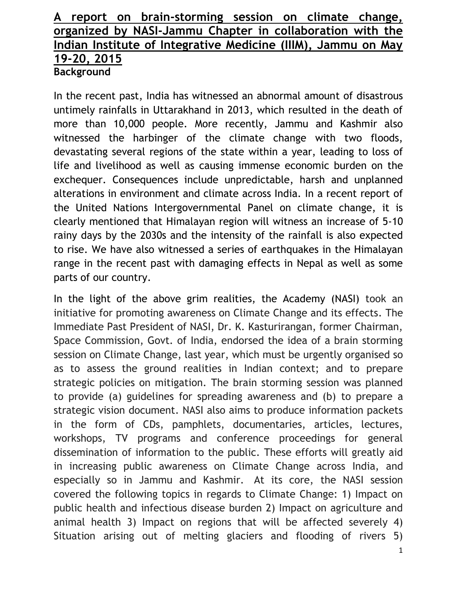# **A report on brain-storming session on climate change, organized by NASI-Jammu Chapter in collaboration with the Indian Institute of Integrative Medicine (IIIM), Jammu on May 19-20, 2015 Background**

In the recent past, India has witnessed an abnormal amount of disastrous untimely rainfalls in Uttarakhand in 2013, which resulted in the death of more than 10,000 people. More recently, Jammu and Kashmir also witnessed the harbinger of the climate change with two floods, devastating several regions of the state within a year, leading to loss of life and livelihood as well as causing immense economic burden on the exchequer. Consequences include unpredictable, harsh and unplanned alterations in environment and climate across India. In a recent report of the United Nations Intergovernmental Panel on climate change, it is clearly mentioned that Himalayan region will witness an increase of 5-10 rainy days by the 2030s and the intensity of the rainfall is also expected to rise. We have also witnessed a series of earthquakes in the Himalayan range in the recent past with damaging effects in Nepal as well as some parts of our country.

In the light of the above grim realities, the Academy (NASI) took an initiative for promoting awareness on Climate Change and its effects. The Immediate Past President of NASI, Dr. K. Kasturirangan, former Chairman, Space Commission, Govt. of India, endorsed the idea of a brain storming session on Climate Change, last year, which must be urgently organised so as to assess the ground realities in Indian context; and to prepare strategic policies on mitigation. The brain storming session was planned to provide (a) guidelines for spreading awareness and (b) to prepare a strategic vision document. NASI also aims to produce information packets in the form of CDs, pamphlets, documentaries, articles, lectures, workshops, TV programs and conference proceedings for general dissemination of information to the public. These efforts will greatly aid in increasing public awareness on Climate Change across India, and especially so in Jammu and Kashmir. At its core, the NASI session covered the following topics in regards to Climate Change: 1) Impact on public health and infectious disease burden 2) Impact on agriculture and animal health 3) Impact on regions that will be affected severely 4) Situation arising out of melting glaciers and flooding of rivers 5)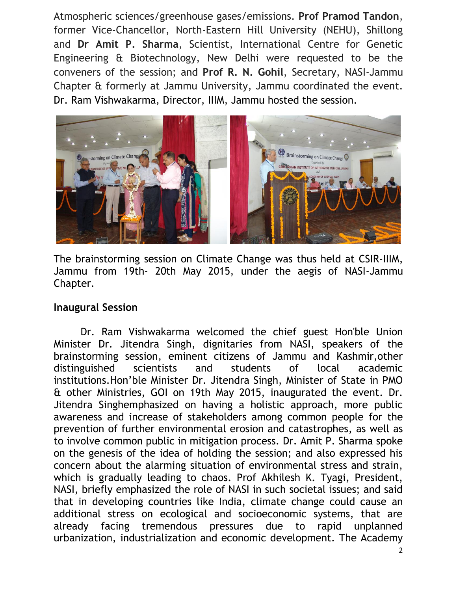Atmospheric sciences/greenhouse gases/emissions. **Prof Pramod Tandon**, former Vice-Chancellor, North-Eastern Hill University (NEHU), Shillong and **Dr Amit P. Sharma**, Scientist, International Centre for Genetic Engineering & Biotechnology, New Delhi were requested to be the conveners of the session; and **Prof R. N. Gohil**, Secretary, NASI-Jammu Chapter & formerly at Jammu University, Jammu coordinated the event. Dr. Ram Vishwakarma, Director, IIIM, Jammu hosted the session.



The brainstorming session on Climate Change was thus held at CSIR-IIIM, Jammu from 19th- 20th May 2015, under the aegis of NASI-Jammu Chapter.

# **Inaugural Session**

Dr. Ram Vishwakarma welcomed the chief guest Hon'ble Union Minister Dr. Jitendra Singh, dignitaries from NASI, speakers of the brainstorming session, eminent citizens of Jammu and Kashmir,other distinguished scientists and students of local academic institutions.Hon'ble Minister Dr. Jitendra Singh, Minister of State in PMO & other Ministries, GOI on 19th May 2015, inaugurated the event. Dr. Jitendra Singhemphasized on having a holistic approach, more public awareness and increase of stakeholders among common people for the prevention of further environmental erosion and catastrophes, as well as to involve common public in mitigation process. Dr. Amit P. Sharma spoke on the genesis of the idea of holding the session; and also expressed his concern about the alarming situation of environmental stress and strain, which is gradually leading to chaos. Prof Akhilesh K. Tyagi, President, NASI, briefly emphasized the role of NASI in such societal issues; and said that in developing countries like India, climate change could cause an additional stress on ecological and socioeconomic systems, that are already facing tremendous pressures due to rapid unplanned urbanization, industrialization and economic development. The Academy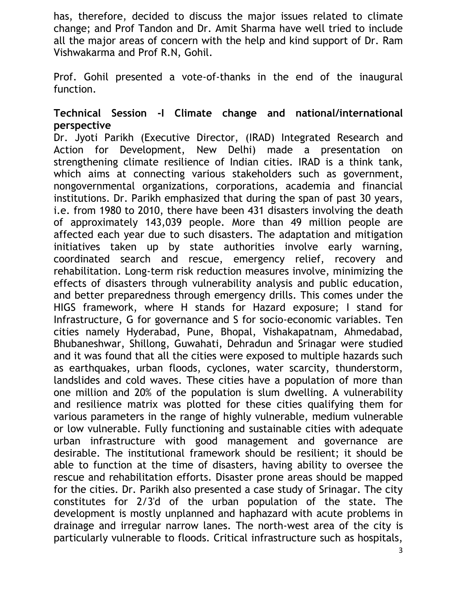has, therefore, decided to discuss the major issues related to climate change; and Prof Tandon and Dr. Amit Sharma have well tried to include all the major areas of concern with the help and kind support of Dr. Ram Vishwakarma and Prof R.N, Gohil.

Prof. Gohil presented a vote-of-thanks in the end of the inaugural function.

# **Technical Session -I Climate change and national/international perspective**

Dr. Jyoti Parikh (Executive Director, (IRAD) Integrated Research and Action for Development, New Delhi) made a presentation on strengthening climate resilience of Indian cities. IRAD is a think tank, which aims at connecting various stakeholders such as government, nongovernmental organizations, corporations, academia and financial institutions. Dr. Parikh emphasized that during the span of past 30 years, i.e. from 1980 to 2010, there have been 431 disasters involving the death of approximately 143,039 people. More than 49 million people are affected each year due to such disasters. The adaptation and mitigation initiatives taken up by state authorities involve early warning, coordinated search and rescue, emergency relief, recovery and rehabilitation. Long-term risk reduction measures involve, minimizing the effects of disasters through vulnerability analysis and public education, and better preparedness through emergency drills. This comes under the HIGS framework, where H stands for Hazard exposure; I stand for Infrastructure, G for governance and S for socio-economic variables. Ten cities namely Hyderabad, Pune, Bhopal, Vishakapatnam, Ahmedabad, Bhubaneshwar, Shillong, Guwahati, Dehradun and Srinagar were studied and it was found that all the cities were exposed to multiple hazards such as earthquakes, urban floods, cyclones, water scarcity, thunderstorm, landslides and cold waves. These cities have a population of more than one million and 20% of the population is slum dwelling. A vulnerability and resilience matrix was plotted for these cities qualifying them for various parameters in the range of highly vulnerable, medium vulnerable or low vulnerable. Fully functioning and sustainable cities with adequate urban infrastructure with good management and governance are desirable. The institutional framework should be resilient; it should be able to function at the time of disasters, having ability to oversee the rescue and rehabilitation efforts. Disaster prone areas should be mapped for the cities. Dr. Parikh also presented a case study of Srinagar. The city constitutes for 2/3'd of the urban population of the state. The development is mostly unplanned and haphazard with acute problems in drainage and irregular narrow lanes. The north-west area of the city is particularly vulnerable to floods. Critical infrastructure such as hospitals,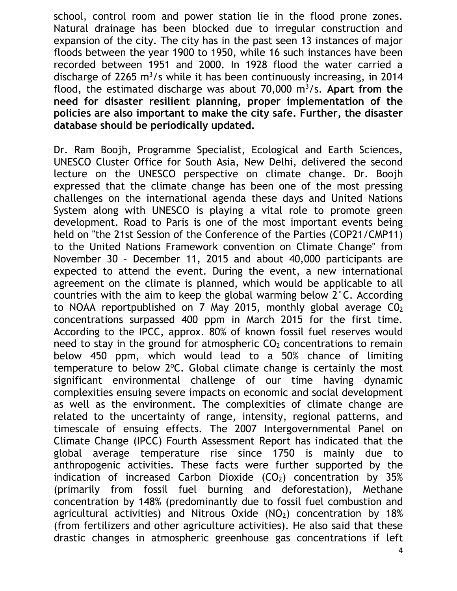school, control room and power station lie in the flood prone zones. Natural drainage has been blocked due to irregular construction and expansion of the city. The city has in the past seen 13 instances of major floods between the year 1900 to 1950, while 16 such instances have been recorded between 1951 and 2000. In 1928 flood the water carried a discharge of 2265 m<sup>3</sup>/s while it has been continuously increasing, in 2014 flood, the estimated discharge was about 70,000 m<sup>3</sup>/s. **Apart from the need for disaster resilient planning, proper implementation of the policies are also important to make the city safe. Further, the disaster database should be periodically updated.** 

Dr. Ram Boojh, Programme Specialist, Ecological and Earth Sciences, UNESCO Cluster Office for South Asia, New Delhi, delivered the second lecture on the UNESCO perspective on climate change. Dr. Boojh expressed that the climate change has been one of the most pressing challenges on the international agenda these days and United Nations System along with UNESCO is playing a vital role to promote green development. Road to Paris is one of the most important events being held on "the 21st Session of the Conference of the Parties (COP21/CMP11) to the United Nations Framework convention on Climate Change" from November 30 - December 11, 2015 and about 40,000 participants are expected to attend the event. During the event, a new international agreement on the climate is planned, which would be applicable to all countries with the aim to keep the global warming below 2°C. According to NOAA reportpublished on 7 May 2015, monthly global average  $CO<sub>2</sub>$ concentrations surpassed 400 ppm in March 2015 for the first time. According to the IPCC, approx. 80% of known fossil fuel reserves would need to stay in the ground for atmospheric  $CO<sub>2</sub>$  concentrations to remain below 450 ppm, which would lead to a 50% chance of limiting temperature to below 2°C. Global climate change is certainly the most significant environmental challenge of our time having dynamic complexities ensuing severe impacts on economic and social development as well as the environment. The complexities of climate change are related to the uncertainty of range, intensity, regional patterns, and timescale of ensuing effects. The 2007 Intergovernmental Panel on Climate Change (IPCC) Fourth Assessment Report has indicated that the global average temperature rise since 1750 is mainly due to anthropogenic activities. These facts were further supported by the indication of increased Carbon Dioxide  $(CO<sub>2</sub>)$  concentration by 35% (primarily from fossil fuel burning and deforestation), Methane concentration by 148% (predominantly due to fossil fuel combustion and agricultural activities) and Nitrous Oxide  $(NO<sub>2</sub>)$  concentration by 18% (from fertilizers and other agriculture activities). He also said that these drastic changes in atmospheric greenhouse gas concentrations if left

4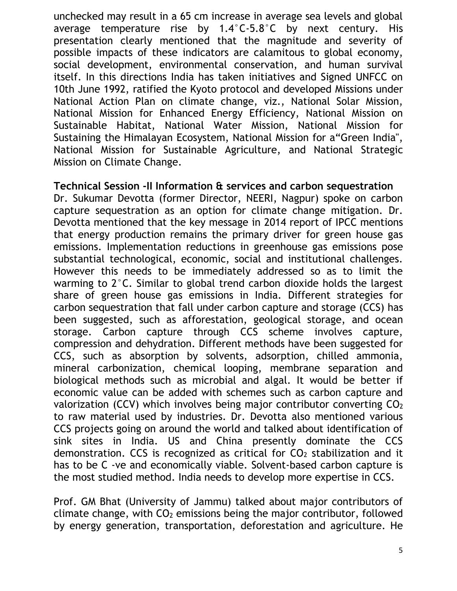unchecked may result in a 65 cm increase in average sea levels and global average temperature rise by 1.4°C-5.8°C by next century. His presentation clearly mentioned that the magnitude and severity of possible impacts of these indicators are calamitous to global economy, social development, environmental conservation, and human survival itself. In this directions India has taken initiatives and Signed UNFCC on 10th June 1992, ratified the Kyoto protocol and developed Missions under National Action Plan on climate change, viz., National Solar Mission, National Mission for Enhanced Energy Efficiency, National Mission on Sustainable Habitat, National Water Mission, National Mission for Sustaining the Himalayan Ecosystem, National Mission for a"Green India", National Mission for Sustainable Agriculture, and National Strategic Mission on Climate Change.

**Technical Session -II Information & services and carbon sequestration**  Dr. Sukumar Devotta (former Director, NEERI, Nagpur) spoke on carbon capture sequestration as an option for climate change mitigation. Dr. Devotta mentioned that the key message in 2014 report of IPCC mentions that energy production remains the primary driver for green house gas emissions. Implementation reductions in greenhouse gas emissions pose substantial technological, economic, social and institutional challenges. However this needs to be immediately addressed so as to limit the warming to 2°C. Similar to global trend carbon dioxide holds the largest share of green house gas emissions in India. Different strategies for carbon sequestration that fall under carbon capture and storage (CCS) has been suggested, such as afforestation, geological storage, and ocean storage. Carbon capture through CCS scheme involves capture, compression and dehydration. Different methods have been suggested for CCS, such as absorption by solvents, adsorption, chilled ammonia, mineral carbonization, chemical looping, membrane separation and biological methods such as microbial and algal. It would be better if economic value can be added with schemes such as carbon capture and valorization (CCV) which involves being major contributor converting  $CO<sub>2</sub>$ to raw material used by industries. Dr. Devotta also mentioned various CCS projects going on around the world and talked about identification of sink sites in India. US and China presently dominate the CCS demonstration. CCS is recognized as critical for  $CO<sub>2</sub>$  stabilization and it has to be C -ve and economically viable. Solvent-based carbon capture is the most studied method. India needs to develop more expertise in CCS.

Prof. GM Bhat (University of Jammu) talked about major contributors of climate change, with  $CO<sub>2</sub>$  emissions being the major contributor, followed by energy generation, transportation, deforestation and agriculture. He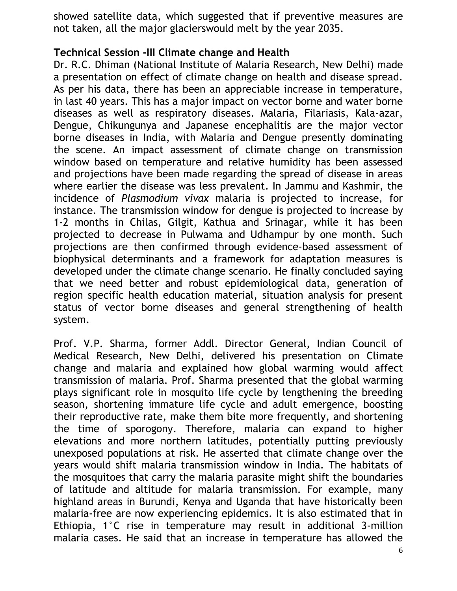showed satellite data, which suggested that if preventive measures are not taken, all the major glacierswould melt by the year 2035.

### **Technical Session -III Climate change and Health**

Dr. R.C. Dhiman (National Institute of Malaria Research, New Delhi) made a presentation on effect of climate change on health and disease spread. As per his data, there has been an appreciable increase in temperature, in last 40 years. This has a major impact on vector borne and water borne diseases as well as respiratory diseases. Malaria, Filariasis, Kala-azar, Dengue, Chikungunya and Japanese encephalitis are the major vector borne diseases in India, with Malaria and Dengue presently dominating the scene. An impact assessment of climate change on transmission window based on temperature and relative humidity has been assessed and projections have been made regarding the spread of disease in areas where earlier the disease was less prevalent. In Jammu and Kashmir, the incidence of *Plasmodium vivax* malaria is projected to increase, for instance. The transmission window for dengue is projected to increase by 1-2 months in Chilas, Gilgit, Kathua and Srinagar, while it has been projected to decrease in Pulwama and Udhampur by one month. Such projections are then confirmed through evidence-based assessment of biophysical determinants and a framework for adaptation measures is developed under the climate change scenario. He finally concluded saying that we need better and robust epidemiological data, generation of region specific health education material, situation analysis for present status of vector borne diseases and general strengthening of health system.

Prof. V.P. Sharma, former Addl. Director General, Indian Council of Medical Research, New Delhi, delivered his presentation on Climate change and malaria and explained how global warming would affect transmission of malaria. Prof. Sharma presented that the global warming plays significant role in mosquito life cycle by lengthening the breeding season, shortening immature life cycle and adult emergence, boosting their reproductive rate, make them bite more frequently, and shortening the time of sporogony. Therefore, malaria can expand to higher elevations and more northern latitudes, potentially putting previously unexposed populations at risk. He asserted that climate change over the years would shift malaria transmission window in India. The habitats of the mosquitoes that carry the malaria parasite might shift the boundaries of latitude and altitude for malaria transmission. For example, many highland areas in Burundi, Kenya and Uganda that have historically been malaria-free are now experiencing epidemics. It is also estimated that in Ethiopia, 1°C rise in temperature may result in additional 3-million malaria cases. He said that an increase in temperature has allowed the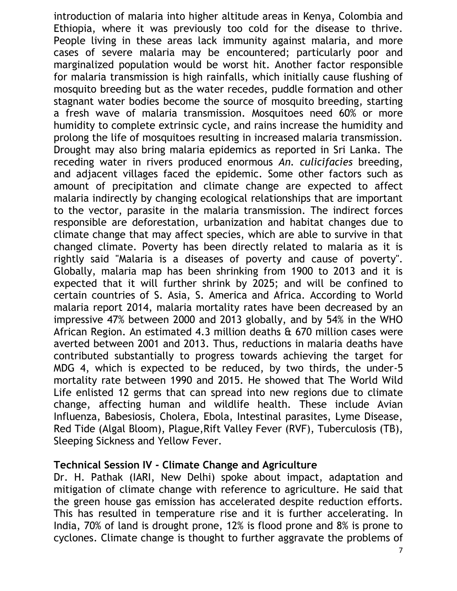introduction of malaria into higher altitude areas in Kenya, Colombia and Ethiopia, where it was previously too cold for the disease to thrive. People living in these areas lack immunity against malaria, and more cases of severe malaria may be encountered; particularly poor and marginalized population would be worst hit. Another factor responsible for malaria transmission is high rainfalls, which initially cause flushing of mosquito breeding but as the water recedes, puddle formation and other stagnant water bodies become the source of mosquito breeding, starting a fresh wave of malaria transmission. Mosquitoes need 60% or more humidity to complete extrinsic cycle, and rains increase the humidity and prolong the life of mosquitoes resulting in increased malaria transmission. Drought may also bring malaria epidemics as reported in Sri Lanka. The receding water in rivers produced enormous *An. culicifacies* breeding, and adjacent villages faced the epidemic. Some other factors such as amount of precipitation and climate change are expected to affect malaria indirectly by changing ecological relationships that are important to the vector, parasite in the malaria transmission. The indirect forces responsible are deforestation, urbanization and habitat changes due to climate change that may affect species, which are able to survive in that changed climate. Poverty has been directly related to malaria as it is rightly said "Malaria is a diseases of poverty and cause of poverty". Globally, malaria map has been shrinking from 1900 to 2013 and it is expected that it will further shrink by 2025; and will be confined to certain countries of S. Asia, S. America and Africa. According to World malaria report 2014, malaria mortality rates have been decreased by an impressive 47% between 2000 and 2013 globally, and by 54% in the WHO African Region. An estimated 4.3 million deaths & 670 million cases were averted between 2001 and 2013. Thus, reductions in malaria deaths have contributed substantially to progress towards achieving the target for MDG 4, which is expected to be reduced, by two thirds, the under-5 mortality rate between 1990 and 2015. He showed that The World Wild Life enlisted 12 germs that can spread into new regions due to climate change, affecting human and wildlife health. These include Avian Influenza, Babesiosis, Cholera, Ebola, Intestinal parasites, Lyme Disease, Red Tide (Algal Bloom), Plague,Rift Valley Fever (RVF), Tuberculosis (TB), Sleeping Sickness and Yellow Fever.

#### **Technical Session IV - Climate Change and Agriculture**

Dr. H. Pathak (IARI, New Delhi) spoke about impact, adaptation and mitigation of climate change with reference to agriculture. He said that the green house gas emission has accelerated despite reduction efforts. This has resulted in temperature rise and it is further accelerating. In India, 70% of land is drought prone, 12% is flood prone and 8% is prone to cyclones. Climate change is thought to further aggravate the problems of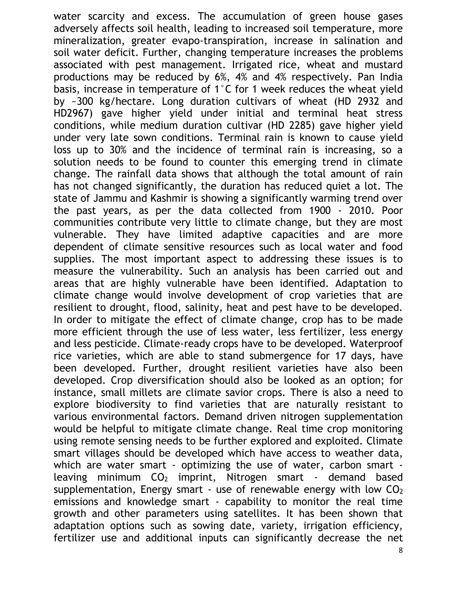water scarcity and excess. The accumulation of green house gases adversely affects soil health, leading to increased soil temperature, more mineralization, greater evapo-transpiration, increase in salination and soil water deficit. Further, changing temperature increases the problems associated with pest management. Irrigated rice, wheat and mustard productions may be reduced by 6%, 4% and 4% respectively. Pan India basis, increase in temperature of 1°C for 1 week reduces the wheat yield by ~300 kg/hectare. Long duration cultivars of wheat (HD 2932 and HD2967) gave higher yield under initial and terminal heat stress conditions, while medium duration cultivar (HD 2285) gave higher yield under very late sown conditions. Terminal rain is known to cause yield loss up to 30% and the incidence of terminal rain is increasing, so a solution needs to be found to counter this emerging trend in climate change. The rainfall data shows that although the total amount of rain has not changed significantly, the duration has reduced quiet a lot. The state of Jammu and Kashmir is showing a significantly warming trend over the past years, as per the data collected from 1900 - 2010. Poor communities contribute very little to climate change, but they are most vulnerable. They have limited adaptive capacities and are more dependent of climate sensitive resources such as local water and food supplies. The most important aspect to addressing these issues is to measure the vulnerability. Such an analysis has been carried out and areas that are highly vulnerable have been identified. Adaptation to climate change would involve development of crop varieties that are resilient to drought, flood, salinity, heat and pest have to be developed. In order to mitigate the effect of climate change, crop has to be made more efficient through the use of less water, less fertilizer, less energy and less pesticide. Climate-ready crops have to be developed. Waterproof rice varieties, which are able to stand submergence for 17 days, have been developed. Further, drought resilient varieties have also been developed. Crop diversification should also be looked as an option; for instance, small millets are climate savior crops. There is also a need to explore biodiversity to find varieties that are naturally resistant to various environmental factors. Demand driven nitrogen supplementation would be helpful to mitigate climate change. Real time crop monitoring using remote sensing needs to be further explored and exploited. Climate smart villages should be developed which have access to weather data, which are water smart - optimizing the use of water, carbon smart leaving minimum CO<sub>2</sub> imprint, Nitrogen smart - demand based supplementation, Energy smart - use of renewable energy with low  $CO<sub>2</sub>$ emissions and knowledge smart - capability to monitor the real time growth and other parameters using satellites. It has been shown that adaptation options such as sowing date, variety, irrigation efficiency, fertilizer use and additional inputs can significantly decrease the net

8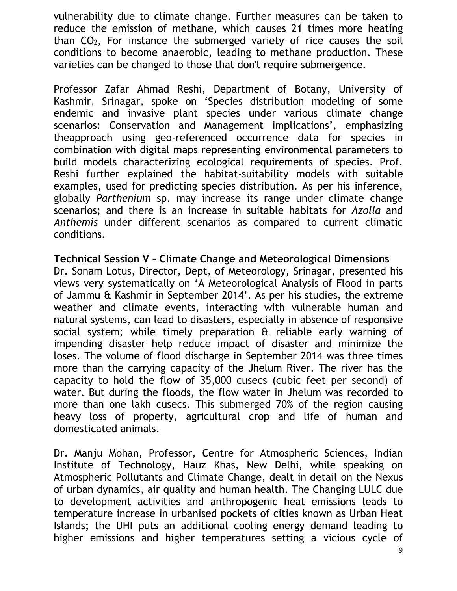vulnerability due to climate change. Further measures can be taken to reduce the emission of methane, which causes 21 times more heating than  $CO<sub>2</sub>$ , For instance the submerged variety of rice causes the soil conditions to become anaerobic, leading to methane production. These varieties can be changed to those that don't require submergence.

Professor Zafar Ahmad Reshi, Department of Botany, University of Kashmir, Srinagar, spoke on 'Species distribution modeling of some endemic and invasive plant species under various climate change scenarios: Conservation and Management implications', emphasizing theapproach using geo-referenced occurrence data for species in combination with digital maps representing environmental parameters to build models characterizing ecological requirements of species. Prof. Reshi further explained the habitat-suitability models with suitable examples, used for predicting species distribution. As per his inference, globally *Parthenium* sp. may increase its range under climate change scenarios; and there is an increase in suitable habitats for *Azolla* and *Anthemis* under different scenarios as compared to current climatic conditions.

### **Technical Session V – Climate Change and Meteorological Dimensions**

Dr. Sonam Lotus, Director, Dept, of Meteorology, Srinagar, presented his views very systematically on 'A Meteorological Analysis of Flood in parts of Jammu & Kashmir in September 2014'. As per his studies, the extreme weather and climate events, interacting with vulnerable human and natural systems, can lead to disasters, especially in absence of responsive social system; while timely preparation & reliable early warning of impending disaster help reduce impact of disaster and minimize the loses. The volume of flood discharge in September 2014 was three times more than the carrying capacity of the Jhelum River. The river has the capacity to hold the flow of 35,000 cusecs (cubic feet per second) of water. But during the floods, the flow water in Jhelum was recorded to more than one lakh cusecs. This submerged 70% of the region causing heavy loss of property, agricultural crop and life of human and domesticated animals.

Dr. Manju Mohan, Professor, Centre for Atmospheric Sciences, Indian Institute of Technology, Hauz Khas, New Delhi, while speaking on Atmospheric Pollutants and Climate Change, dealt in detail on the Nexus of urban dynamics, air quality and human health. The Changing LULC due to development activities and anthropogenic heat emissions leads to temperature increase in urbanised pockets of cities known as Urban Heat Islands; the UHI puts an additional cooling energy demand leading to higher emissions and higher temperatures setting a vicious cycle of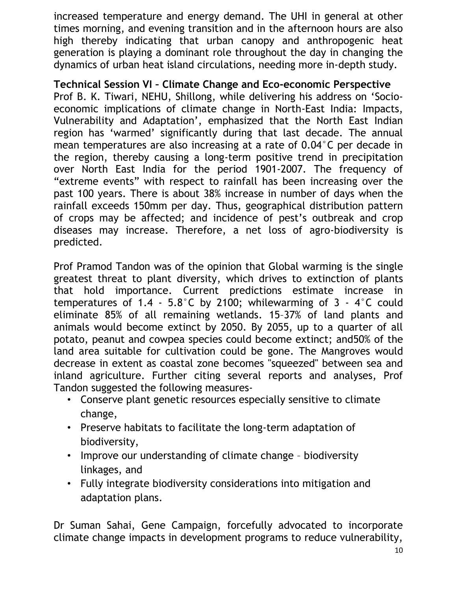increased temperature and energy demand. The UHI in general at other times morning, and evening transition and in the afternoon hours are also high thereby indicating that urban canopy and anthropogenic heat generation is playing a dominant role throughout the day in changing the dynamics of urban heat island circulations, needing more in-depth study.

# **Technical Session VI – Climate Change and Eco-economic Perspective**

Prof B. K. Tiwari, NEHU, Shillong, while delivering his address on 'Socioeconomic implications of climate change in North-East India: Impacts, Vulnerability and Adaptation', emphasized that the North East Indian region has 'warmed' significantly during that last decade. The annual mean temperatures are also increasing at a rate of 0.04°C per decade in the region, thereby causing a long-term positive trend in precipitation over North East India for the period 1901-2007. The frequency of "extreme events" with respect to rainfall has been increasing over the past 100 years. There is about 38% increase in number of days when the rainfall exceeds 150mm per day. Thus, geographical distribution pattern of crops may be affected; and incidence of pest's outbreak and crop diseases may increase. Therefore, a net loss of agro-biodiversity is predicted.

Prof Pramod Tandon was of the opinion that Global warming is the single greatest threat to plant diversity, which drives to extinction of plants that hold importance. Current predictions estimate increase in temperatures of 1.4 - 5.8°C by 2100; whilewarming of 3 - 4°C could eliminate 85% of all remaining wetlands. 15–37% of land plants and animals would become extinct by 2050. By 2055, up to a quarter of all potato, peanut and cowpea species could become extinct; and50% of the land area suitable for cultivation could be gone. The Mangroves would decrease in extent as coastal zone becomes "squeezed" between sea and inland agriculture. Further citing several reports and analyses, Prof Tandon suggested the following measures-

- Conserve plant genetic resources especially sensitive to climate change,
- Preserve habitats to facilitate the long-term adaptation of biodiversity,
- Improve our understanding of climate change biodiversity linkages, and
- Fully integrate biodiversity considerations into mitigation and adaptation plans.

Dr Suman Sahai, Gene Campaign, forcefully advocated to incorporate climate change impacts in development programs to reduce vulnerability,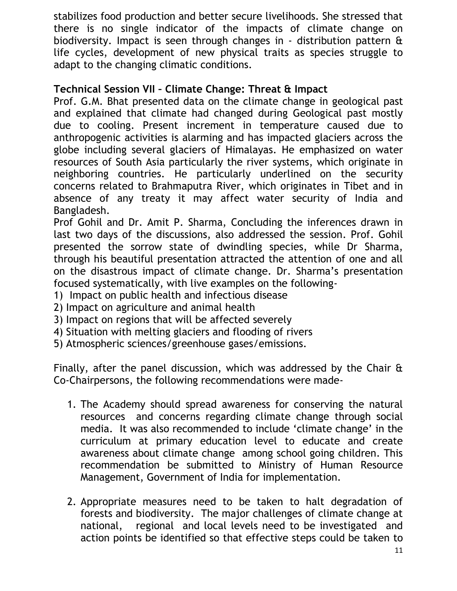stabilizes food production and better secure livelihoods. She stressed that there is no single indicator of the impacts of climate change on biodiversity. Impact is seen through changes in - distribution pattern & life cycles, development of new physical traits as species struggle to adapt to the changing climatic conditions.

# **Technical Session VII – Climate Change: Threat & Impact**

Prof. G.M. Bhat presented data on the climate change in geological past and explained that climate had changed during Geological past mostly due to cooling. Present increment in temperature caused due to anthropogenic activities is alarming and has impacted glaciers across the globe including several glaciers of Himalayas. He emphasized on water resources of South Asia particularly the river systems, which originate in neighboring countries. He particularly underlined on the security concerns related to Brahmaputra River, which originates in Tibet and in absence of any treaty it may affect water security of India and Bangladesh.

Prof Gohil and Dr. Amit P. Sharma, Concluding the inferences drawn in last two days of the discussions, also addressed the session. Prof. Gohil presented the sorrow state of dwindling species, while Dr Sharma, through his beautiful presentation attracted the attention of one and all on the disastrous impact of climate change. Dr. Sharma's presentation focused systematically, with live examples on the following-

- 1) Impact on public health and infectious disease
- 2) Impact on agriculture and animal health
- 3) Impact on regions that will be affected severely
- 4) Situation with melting glaciers and flooding of rivers
- 5) Atmospheric sciences/greenhouse gases/emissions.

Finally, after the panel discussion, which was addressed by the Chair & Co-Chairpersons, the following recommendations were made-

- 1. The Academy should spread awareness for conserving the natural resources and concerns regarding climate change through social media. It was also recommended to include 'climate change' in the curriculum at primary education level to educate and create awareness about climate change among school going children. This recommendation be submitted to Ministry of Human Resource Management, Government of India for implementation.
- 2. Appropriate measures need to be taken to halt degradation of forests and biodiversity. The major challenges of climate change at national, regional and local levels need to be investigated and action points be identified so that effective steps could be taken to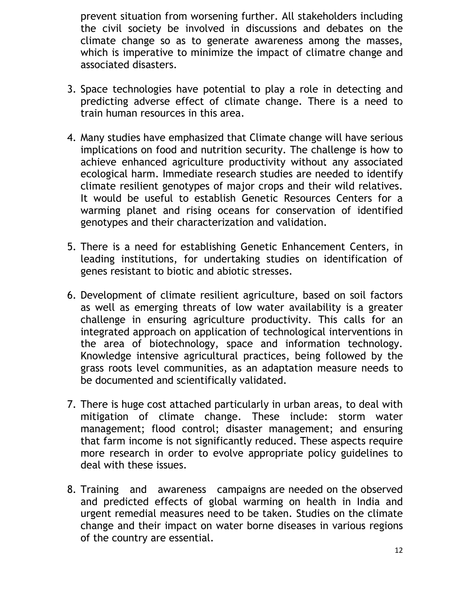prevent situation from worsening further. All stakeholders including the civil society be involved in discussions and debates on the climate change so as to generate awareness among the masses, which is imperative to minimize the impact of climatre change and associated disasters.

- 3. Space technologies have potential to play a role in detecting and predicting adverse effect of climate change. There is a need to train human resources in this area.
- 4. Many studies have emphasized that Climate change will have serious implications on food and nutrition security. The challenge is how to achieve enhanced agriculture productivity without any associated ecological harm. Immediate research studies are needed to identify climate resilient genotypes of major crops and their wild relatives. It would be useful to establish Genetic Resources Centers for a warming planet and rising oceans for conservation of identified genotypes and their characterization and validation.
- 5. There is a need for establishing Genetic Enhancement Centers, in leading institutions, for undertaking studies on identification of genes resistant to biotic and abiotic stresses.
- 6. Development of climate resilient agriculture, based on soil factors as well as emerging threats of low water availability is a greater challenge in ensuring agriculture productivity. This calls for an integrated approach on application of technological interventions in the area of biotechnology, space and information technology. Knowledge intensive agricultural practices, being followed by the grass roots level communities, as an adaptation measure needs to be documented and scientifically validated.
- 7. There is huge cost attached particularly in urban areas, to deal with mitigation of climate change. These include: storm water management; flood control; disaster management; and ensuring that farm income is not significantly reduced. These aspects require more research in order to evolve appropriate policy guidelines to deal with these issues.
- 8. Training and awareness campaigns are needed on the observed and predicted effects of global warming on health in India and urgent remedial measures need to be taken. Studies on the climate change and their impact on water borne diseases in various regions of the country are essential.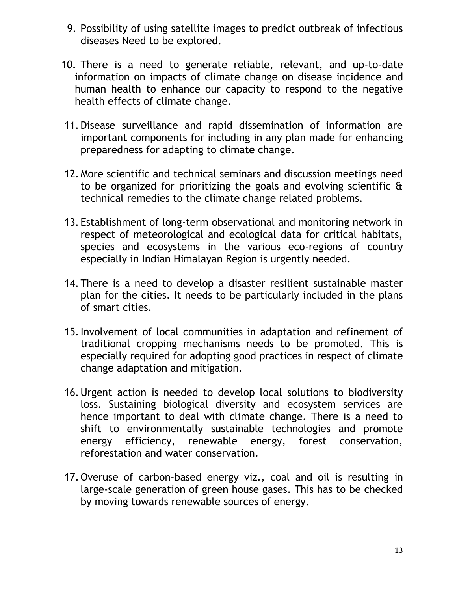- 9. Possibility of using satellite images to predict outbreak of infectious diseases Need to be explored.
- 10. There is a need to generate reliable, relevant, and up-to-date information on impacts of climate change on disease incidence and human health to enhance our capacity to respond to the negative health effects of climate change.
- 11.Disease surveillance and rapid dissemination of information are important components for including in any plan made for enhancing preparedness for adapting to climate change.
- 12. More scientific and technical seminars and discussion meetings need to be organized for prioritizing the goals and evolving scientific & technical remedies to the climate change related problems.
- 13. Establishment of long-term observational and monitoring network in respect of meteorological and ecological data for critical habitats, species and ecosystems in the various eco-regions of country especially in Indian Himalayan Region is urgently needed.
- 14. There is a need to develop a disaster resilient sustainable master plan for the cities. It needs to be particularly included in the plans of smart cities.
- 15.Involvement of local communities in adaptation and refinement of traditional cropping mechanisms needs to be promoted. This is especially required for adopting good practices in respect of climate change adaptation and mitigation.
- 16.Urgent action is needed to develop local solutions to biodiversity loss. Sustaining biological diversity and ecosystem services are hence important to deal with climate change. There is a need to shift to environmentally sustainable technologies and promote energy efficiency, renewable energy, forest conservation, reforestation and water conservation.
- 17.Overuse of carbon-based energy viz., coal and oil is resulting in large-scale generation of green house gases. This has to be checked by moving towards renewable sources of energy.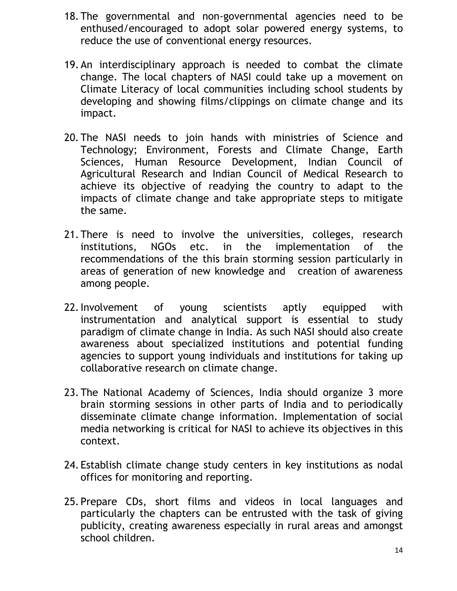- 18. The governmental and non-governmental agencies need to be enthused/encouraged to adopt solar powered energy systems, to reduce the use of conventional energy resources.
- 19.An interdisciplinary approach is needed to combat the climate change. The local chapters of NASI could take up a movement on Climate Literacy of local communities including school students by developing and showing films/clippings on climate change and its impact.
- 20. The NASI needs to join hands with ministries of Science and Technology; Environment, Forests and Climate Change, Earth Sciences, Human Resource Development, Indian Council of Agricultural Research and Indian Council of Medical Research to achieve its objective of readying the country to adapt to the impacts of climate change and take appropriate steps to mitigate the same.
- 21. There is need to involve the universities, colleges, research institutions, NGOs etc. in the implementation of the recommendations of the this brain storming session particularly in areas of generation of new knowledge and creation of awareness among people.
- 22.Involvement of young scientists aptly equipped with instrumentation and analytical support is essential to study paradigm of climate change in India. As such NASI should also create awareness about specialized institutions and potential funding agencies to support young individuals and institutions for taking up collaborative research on climate change.
- 23. The National Academy of Sciences, India should organize 3 more brain storming sessions in other parts of India and to periodically disseminate climate change information. Implementation of social media networking is critical for NASI to achieve its objectives in this context.
- 24. Establish climate change study centers in key institutions as nodal offices for monitoring and reporting.
- 25. Prepare CDs, short films and videos in local languages and particularly the chapters can be entrusted with the task of giving publicity, creating awareness especially in rural areas and amongst school children.